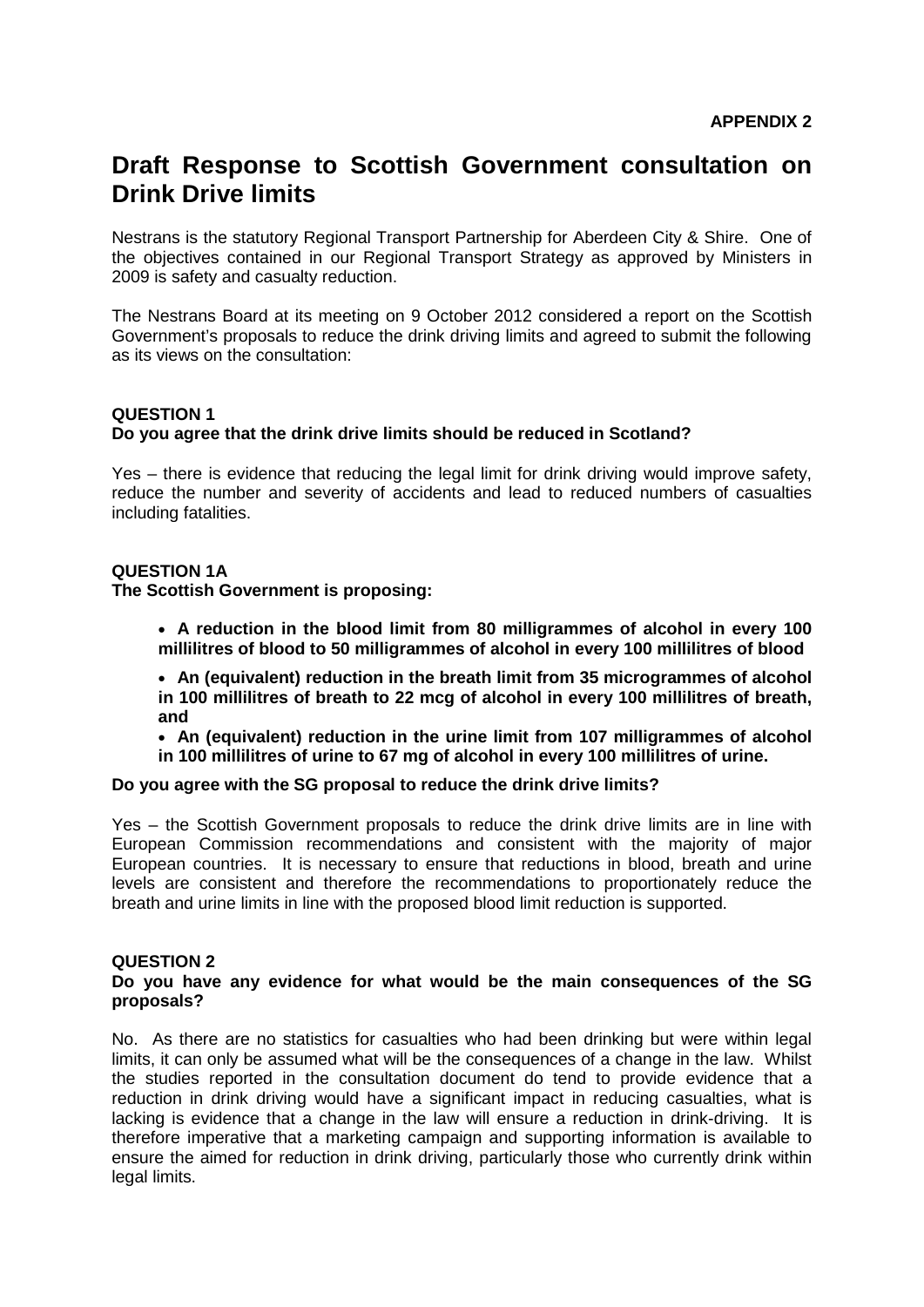# **Draft Response to Scottish Government consultation on Drink Drive limits**

Nestrans is the statutory Regional Transport Partnership for Aberdeen City & Shire. One of the objectives contained in our Regional Transport Strategy as approved by Ministers in 2009 is safety and casualty reduction.

The Nestrans Board at its meeting on 9 October 2012 considered a report on the Scottish Government's proposals to reduce the drink driving limits and agreed to submit the following as its views on the consultation:

# **QUESTION 1 Do you agree that the drink drive limits should be reduced in Scotland?**

Yes – there is evidence that reducing the legal limit for drink driving would improve safety, reduce the number and severity of accidents and lead to reduced numbers of casualties including fatalities.

# **QUESTION 1A**

# **The Scottish Government is proposing:**

• **A reduction in the blood limit from 80 milligrammes of alcohol in every 100 millilitres of blood to 50 milligrammes of alcohol in every 100 millilitres of blood**

• **An (equivalent) reduction in the breath limit from 35 microgrammes of alcohol in 100 millilitres of breath to 22 mcg of alcohol in every 100 millilitres of breath, and**

• **An (equivalent) reduction in the urine limit from 107 milligrammes of alcohol in 100 millilitres of urine to 67 mg of alcohol in every 100 millilitres of urine.**

# **Do you agree with the SG proposal to reduce the drink drive limits?**

Yes – the Scottish Government proposals to reduce the drink drive limits are in line with European Commission recommendations and consistent with the majority of major European countries. It is necessary to ensure that reductions in blood, breath and urine levels are consistent and therefore the recommendations to proportionately reduce the breath and urine limits in line with the proposed blood limit reduction is supported.

# **QUESTION 2**

#### **Do you have any evidence for what would be the main consequences of the SG proposals?**

No. As there are no statistics for casualties who had been drinking but were within legal limits, it can only be assumed what will be the consequences of a change in the law. Whilst the studies reported in the consultation document do tend to provide evidence that a reduction in drink driving would have a significant impact in reducing casualties, what is lacking is evidence that a change in the law will ensure a reduction in drink-driving. It is therefore imperative that a marketing campaign and supporting information is available to ensure the aimed for reduction in drink driving, particularly those who currently drink within legal limits.